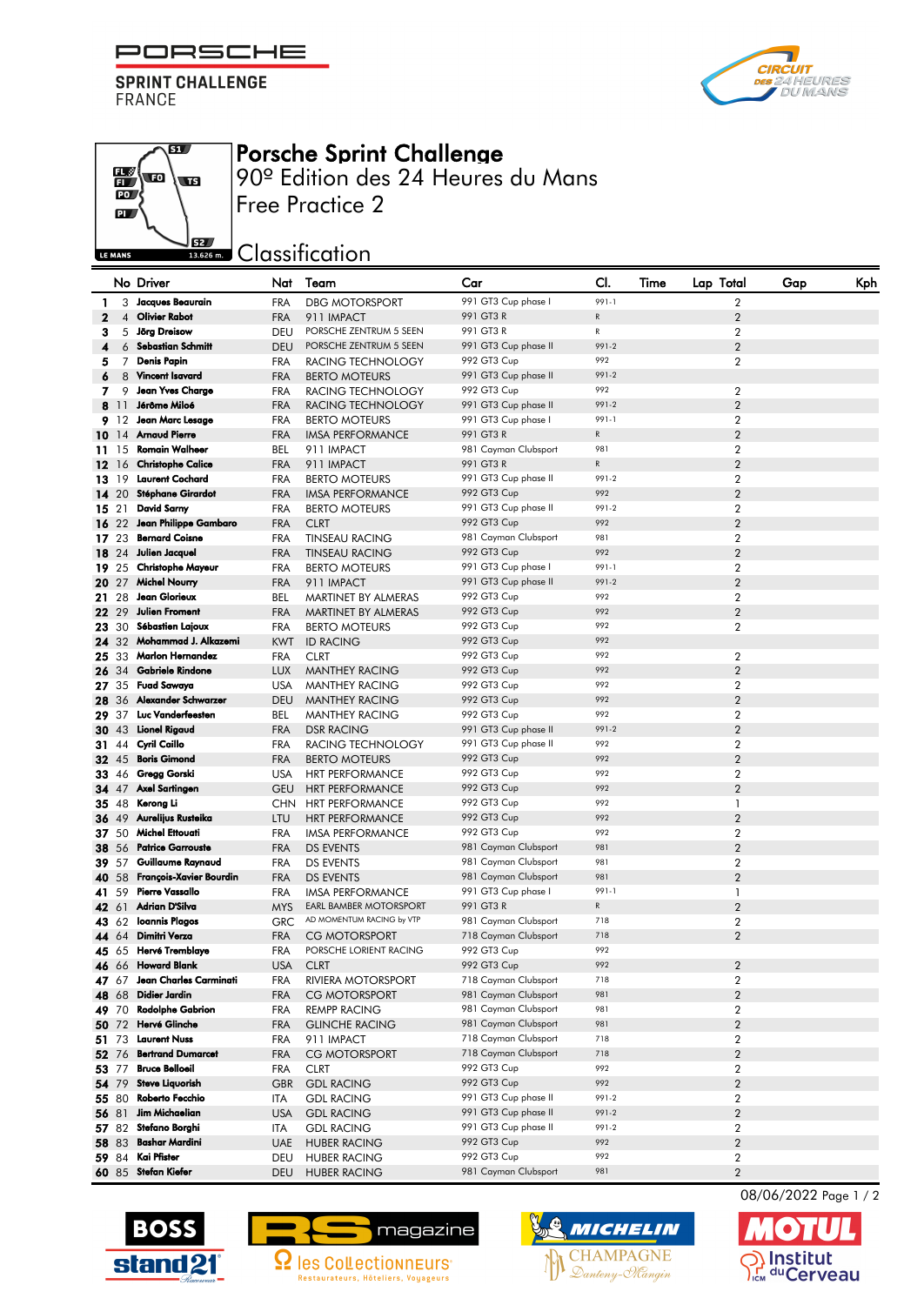PORSCHE F

**SPRINT CHALLENGE FRANCE** 





## Porsche Sprint Challenge

90º Edition des 24 Heures du Mans Free Practice 2

**SECONDED** Classification

|              |                | No Driver                                    | Nat                      | Team                                       | Car                                          | CI.          | Time | Lap Total                        | Gap | Kph |
|--------------|----------------|----------------------------------------------|--------------------------|--------------------------------------------|----------------------------------------------|--------------|------|----------------------------------|-----|-----|
| 1            | 3              | Jacques Beaurain                             | <b>FRA</b>               | <b>DBG MOTORSPORT</b>                      | 991 GT3 Cup phase I                          | 991-1        |      | $\overline{2}$                   |     |     |
| $\mathbf{2}$ | $\overline{4}$ | <b>Olivier Rabot</b>                         | <b>FRA</b>               | 911 IMPACT                                 | 991 GT3 R                                    | $\mathsf{R}$ |      | $\overline{2}$                   |     |     |
| 3            | 5              | Jörg Dreisow                                 | DEU                      | PORSCHE ZENTRUM 5 SEEN                     | 991 GT3 R                                    | R            |      | $\overline{2}$                   |     |     |
| 4            | 6              | <b>Sebastian Schmitt</b>                     | <b>DEU</b>               | PORSCHE ZENTRUM 5 SEEN                     | 991 GT3 Cup phase II                         | 991-2        |      | $\overline{2}$                   |     |     |
| 5            | 7              | <b>Denis Papin</b>                           | <b>FRA</b>               | RACING TECHNOLOGY                          | 992 GT3 Cup                                  | 992          |      | $\overline{2}$                   |     |     |
| 6            | 8              | <b>Vincent Isavard</b>                       | <b>FRA</b>               | <b>BERTO MOTEURS</b>                       | 991 GT3 Cup phase II                         | 991-2        |      |                                  |     |     |
| 7            | 9              | <b>Jean Yves Charge</b>                      | <b>FRA</b>               | RACING TECHNOLOGY                          | 992 GT3 Cup                                  | 992          |      | $\overline{2}$                   |     |     |
|              | 8 11           | Jérôme Miloé                                 | <b>FRA</b>               | RACING TECHNOLOGY                          | 991 GT3 Cup phase II                         | 991-2        |      | $\overline{2}$                   |     |     |
|              | 9 12           | Jean Marc Lesage                             | <b>FRA</b>               | <b>BERTO MOTEURS</b>                       | 991 GT3 Cup phase I                          | 991-1        |      | $\overline{2}$                   |     |     |
|              | 1014           | <b>Arnaud Pierre</b>                         | <b>FRA</b>               | <b>IMSA PERFORMANCE</b>                    | 991 GT3 R                                    | $\mathsf{R}$ |      | $\overline{2}$                   |     |     |
|              | 11 15          | <b>Romain Walheer</b>                        | <b>BEL</b>               | 911 IMPACT                                 | 981 Cayman Clubsport                         | 981          |      | $\overline{2}$                   |     |     |
|              | $12 \t16$      | <b>Christophe Calice</b>                     | <b>FRA</b>               | 911 IMPACT                                 | 991 GT3 R                                    | $\mathsf{R}$ |      | $\overline{2}$                   |     |     |
|              | 13 19          | <b>Laurent Cochard</b>                       | <b>FRA</b>               | <b>BERTO MOTEURS</b>                       | 991 GT3 Cup phase II                         | 991-2        |      | $\overline{2}$                   |     |     |
|              | 14 20          | Stéphane Girardot                            | <b>FRA</b>               | <b>IMSA PERFORMANCE</b>                    | 992 GT3 Cup                                  | 992          |      | $\overline{2}$                   |     |     |
|              | 15 21          | <b>David Sarny</b>                           | <b>FRA</b>               | <b>BERTO MOTEURS</b>                       | 991 GT3 Cup phase II                         | 991-2        |      | $\overline{2}$                   |     |     |
|              | 1622           | Jean Philippe Gambaro                        | <b>FRA</b>               | <b>CLRT</b>                                | 992 GT3 Cup                                  | 992          |      | $\overline{2}$                   |     |     |
|              | 17 23          | <b>Bernard Coisne</b>                        | <b>FRA</b>               | <b>TINSEAU RACING</b>                      | 981 Cayman Clubsport                         | 981          |      | 2                                |     |     |
|              | 18 24          | Julien Jacquel                               | <b>FRA</b>               | <b>TINSEAU RACING</b>                      | 992 GT3 Cup                                  | 992          |      | $\overline{2}$                   |     |     |
|              | 19 25          | <b>Christophe Mayeur</b>                     | <b>FRA</b>               | <b>BERTO MOTEURS</b>                       | 991 GT3 Cup phase I                          | 991-1        |      | $\overline{2}$                   |     |     |
|              | 20 27          | <b>Michel Nourry</b>                         | <b>FRA</b>               | 911 IMPACT                                 | 991 GT3 Cup phase II                         | 991-2        |      | $\overline{2}$                   |     |     |
|              | 21 28          | Jean Glorieux                                | BEL                      | MARTINET BY ALMERAS                        | 992 GT3 Cup                                  | 992          |      | $\overline{2}$                   |     |     |
|              | 22 29          | <b>Julien Froment</b>                        | <b>FRA</b>               | MARTINET BY ALMERAS                        | 992 GT3 Cup                                  | 992          |      | $\overline{2}$                   |     |     |
|              | 23 30          | <b>Sébastien Lajoux</b>                      | <b>FRA</b>               | <b>BERTO MOTEURS</b>                       | 992 GT3 Cup                                  | 992          |      | $\overline{2}$                   |     |     |
|              | 24 32          | Mohammad J. Alkazemi                         |                          | <b>ID RACING</b>                           | 992 GT3 Cup                                  | 992          |      |                                  |     |     |
|              | 25 33          | <b>Marlon Hernandez</b>                      | <b>KWT</b><br><b>FRA</b> | <b>CLRT</b>                                | 992 GT3 Cup                                  | 992          |      | $\overline{2}$                   |     |     |
|              |                | Gabriele Rindone                             |                          |                                            | 992 GT3 Cup                                  | 992          |      | $\overline{2}$                   |     |     |
|              | 26 34          | <b>Fuad Sawaya</b>                           | <b>LUX</b>               | <b>MANTHEY RACING</b>                      | 992 GT3 Cup                                  | 992          |      |                                  |     |     |
|              | 27 35          | Alexander Schwarzer                          | <b>USA</b>               | <b>MANTHEY RACING</b>                      | 992 GT3 Cup                                  | 992          |      | $\overline{2}$<br>$\overline{2}$ |     |     |
|              | 28 36          | Luc Vanderfeesten                            | <b>DEU</b>               | <b>MANTHEY RACING</b>                      |                                              | 992          |      |                                  |     |     |
|              | 29 37          |                                              | BEL                      | <b>MANTHEY RACING</b>                      | 992 GT3 Cup                                  | 991-2        |      | $\overline{2}$                   |     |     |
|              | 30 43          | Lionel Rigaud                                | <b>FRA</b>               | <b>DSR RACING</b>                          | 991 GT3 Cup phase II<br>991 GT3 Cup phase II | 992          |      | $\overline{2}$                   |     |     |
|              | 31 44          | Cyril Caillo<br><b>Boris Gimond</b>          | <b>FRA</b>               | RACING TECHNOLOGY                          |                                              | 992          |      | 2                                |     |     |
|              | <b>32</b> 45   |                                              | <b>FRA</b>               | <b>BERTO MOTEURS</b>                       | 992 GT3 Cup                                  | 992          |      | $\overline{2}$                   |     |     |
|              | 33 46          | Gregg Gorski                                 | <b>USA</b>               | <b>HRT PERFORMANCE</b>                     | 992 GT3 Cup                                  | 992          |      | $\overline{2}$                   |     |     |
|              | 34 47          | <b>Axel Sartingen</b><br>Kerong Li           | <b>GEU</b>               | <b>HRT PERFORMANCE</b>                     | 992 GT3 Cup                                  | 992          |      | $\overline{2}$                   |     |     |
|              | 35 48          |                                              | <b>CHN</b>               | <b>HRT PERFORMANCE</b>                     | 992 GT3 Cup                                  | 992          |      | 1                                |     |     |
|              | 36 49          | Aurelijus Rusteika                           | LTU                      | <b>HRT PERFORMANCE</b>                     | 992 GT3 Cup                                  | 992          |      | $\overline{2}$                   |     |     |
|              | <b>37</b> 50   | <b>Michel Ettouati</b>                       | <b>FRA</b>               | <b>IMSA PERFORMANCE</b>                    | 992 GT3 Cup                                  | 981          |      | $\overline{2}$                   |     |     |
|              | <b>38</b> 56   | <b>Patrice Garrouste</b>                     | <b>FRA</b>               | DS EVENTS                                  | 981 Cayman Clubsport                         | 981          |      | $\overline{2}$                   |     |     |
|              | <b>39</b> 57   | Guillaume Raynaud<br>François-Xavier Bourdin | <b>FRA</b>               | DS EVENTS                                  | 981 Cayman Clubsport<br>981 Cayman Clubsport | 981          |      | $\overline{2}$<br>$\overline{2}$ |     |     |
|              | 40 58<br>41 59 | <b>Pierre Vassallo</b>                       | <b>FRA</b>               | DS EVENTS                                  | 991 GT3 Cup phase I                          | 991-1        |      | 1                                |     |     |
|              |                | Adrian D'Silva                               | FRA                      | IMSA PERFORMANCE<br>EARL BAMBER MOTORSPORT | 991 GT3 R                                    | $\mathsf{R}$ |      | $\overline{2}$                   |     |     |
|              | 42 61<br>43 62 | Ioannis Plagos                               | <b>MYS</b><br><b>GRC</b> | AD MOMENTUM RACING by VTP                  | 981 Cayman Clubsport                         | 718          |      | $\overline{2}$                   |     |     |
|              | 44 64          | Dimitri Verza                                | <b>FRA</b>               | <b>CG MOTORSPORT</b>                       | 718 Cayman Clubsport                         | 718          |      | $\overline{2}$                   |     |     |
|              |                | Hervé Tremblaye                              | <b>FRA</b>               | PORSCHE LORIENT RACING                     | 992 GT3 Cup                                  | 992          |      |                                  |     |     |
|              | 45 65          | 46 66 Howard Blank                           | <b>USA</b>               | <b>CLRT</b>                                | 992 GT3 Cup                                  | 992          |      | $\overline{2}$                   |     |     |
|              |                | Jean Charles Carminati                       |                          |                                            | 718 Cayman Clubsport                         | 718          |      | 2                                |     |     |
|              | 47 67          | Didier Jardin                                | FRA                      | RIVIERA MOTORSPORT                         | 981 Cayman Clubsport                         | 981          |      | $\overline{2}$                   |     |     |
|              | 48 68          | <b>Rodolphe Gabrion</b>                      | <b>FRA</b>               | CG MOTORSPORT                              |                                              |              |      |                                  |     |     |
|              | 49 70          | <b>Hervé Glinche</b>                         | <b>FRA</b>               | <b>REMPP RACING</b>                        | 981 Cayman Clubsport                         | 981<br>981   |      | $\overline{a}$<br>$\overline{2}$ |     |     |
|              | 50 72          | <b>Laurent Nuss</b>                          | FRA                      | <b>GLINCHE RACING</b>                      | 981 Cayman Clubsport<br>718 Cayman Clubsport |              |      |                                  |     |     |
|              | 51 73          |                                              | <b>FRA</b>               | 911 IMPACT                                 |                                              | 718          |      | $\overline{2}$                   |     |     |
|              | 52 76          | <b>Bertrand Dumarcet</b>                     | <b>FRA</b>               | CG MOTORSPORT                              | 718 Cayman Clubsport                         | 718          |      | $\overline{2}$                   |     |     |
|              | 53 77          | <b>Bruce Belloeil</b>                        | <b>FRA</b>               | <b>CLRT</b>                                | 992 GT3 Cup                                  | 992          |      | 2                                |     |     |
|              | 54 79          | <b>Steve Liquorish</b>                       | <b>GBR</b>               | <b>GDL RACING</b>                          | 992 GT3 Cup                                  | 992          |      | $\overline{2}$                   |     |     |
|              | 55 80          | Roberto Fecchio                              | ITA                      | <b>GDL RACING</b>                          | 991 GT3 Cup phase II                         | 991-2        |      | 2                                |     |     |
|              | 56 81          | Jim Michaelian                               | <b>USA</b>               | <b>GDL RACING</b>                          | 991 GT3 Cup phase II                         | 991-2        |      | $\overline{a}$                   |     |     |
|              | 57 82          | Stefano Borghi                               | ITA                      | <b>GDL RACING</b>                          | 991 GT3 Cup phase II                         | 991-2        |      | $\overline{2}$                   |     |     |
|              | 58 83          | <b>Bashar Mardini</b>                        | <b>UAE</b>               | <b>HUBER RACING</b>                        | 992 GT3 Cup                                  | 992          |      | $\overline{a}$                   |     |     |
|              | 59 84          | Kai Pfister                                  | DEU                      | <b>HUBER RACING</b>                        | 992 GT3 Cup                                  | 992          |      | 2                                |     |     |
|              |                | 60 85 Stefan Kiefer                          | DEU                      | <b>HUBER RACING</b>                        | 981 Cayman Clubsport                         | 981          |      | $\overline{2}$                   |     |     |